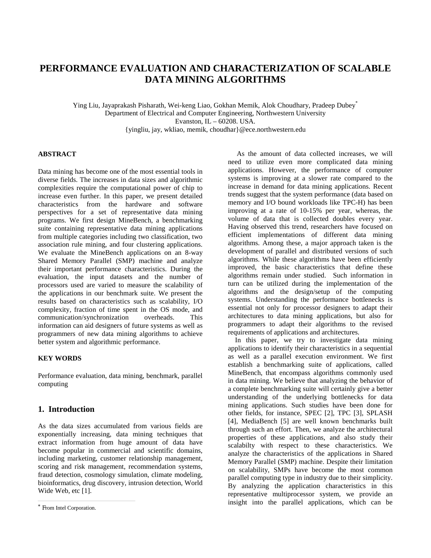# **PERFORMANCE EVALUATION AND CHARACTERIZATION OF SCALABLE DATA MINING ALGORITHMS**

Ying Liu, Jayaprakash Pisharath, Wei-keng Liao, Gokhan Memik, Alok Choudhary, Pradeep Dubey\* Department of Electrical and Computer Engineering, Northwestern University Evanston,  $IL - 60208$ , USA. {yingliu, jay, wkliao, memik, choudhar}@ece.northwestern.edu

# **ABSTRACT**

Data mining has become one of the most essential tools in diverse fields. The increases in data sizes and algorithmic complexities require the computational power of chip to increase even further. In this paper, we present detailed characteristics from the hardware and software perspectives for a set of representative data mining programs. We first design MineBench, a benchmarking suite containing representative data mining applications from multiple categories including two classification, two association rule mining, and four clustering applications. We evaluate the MineBench applications on an 8-way Shared Memory Parallel (SMP) machine and analyze their important performance characteristics. During the evaluation, the input datasets and the number of processors used are varied to measure the scalability of the applications in our benchmark suite. We present the results based on characteristics such as scalability, I/O complexity, fraction of time spent in the OS mode, and<br>communication/synchronization overheads. This communication/synchronization information can aid designers of future systems as well as programmers of new data mining algorithms to achieve better system and algorithmic performance.

# **KEY WORDS**

Performance evaluation, data mining, benchmark, parallel computing

# **1. Introduction**

As the data sizes accumulated from various fields are exponentially increasing, data mining techniques that extract information from huge amount of data have become popular in commercial and scientific domains, including marketing, customer relationship management, scoring and risk management, recommendation systems, fraud detection, cosmology simulation, climate modeling, bioinformatics, drug discovery, intrusion detection, World Wide Web, etc [1].

 As the amount of data collected increases, we will need to utilize even more complicated data mining applications. However, the performance of computer systems is improving at a slower rate compared to the increase in demand for data mining applications. Recent trends suggest that the system performance (data based on memory and I/O bound workloads like TPC-H) has been improving at a rate of 10-15% per year, whereas, the volume of data that is collected doubles every year. Having observed this trend, researchers have focused on efficient implementations of different data mining algorithms. Among these, a major approach taken is the development of parallel and distributed versions of such algorithms. While these algorithms have been efficiently improved, the basic characteristics that define these algorithms remain under studied. Such information in turn can be utilized during the implementation of the algorithms and the design/setup of the computing systems. Understanding the performance bottlenecks is essential not only for processor designers to adapt their architectures to data mining applications, but also for programmers to adapt their algorithms to the revised requirements of applications and architectures.

 In this paper, we try to investigate data mining applications to identify their characteristics in a sequential as well as a parallel execution environment. We first establish a benchmarking suite of applications, called MineBench, that encompass algorithms commonly used in data mining. We believe that analyzing the behavior of a complete benchmarking suite will certainly give a better understanding of the underlying bottlenecks for data mining applications. Such studies have been done for other fields, for instance, SPEC [2], TPC [3], SPLASH [4], MediaBench [5] are well known benchmarks built through such an effort. Then, we analyze the architectural properties of these applications, and also study their scalabilty with respect to these characteristics. We analyze the characteristics of the applications in Shared Memory Parallel (SMP) machine. Despite their limitation on scalability, SMPs have become the most common parallel computing type in industry due to their simplicity. By analyzing the application characteristics in this representative multiprocessor system, we provide an insight into the parallel applications, which can be

From Intel Corporation.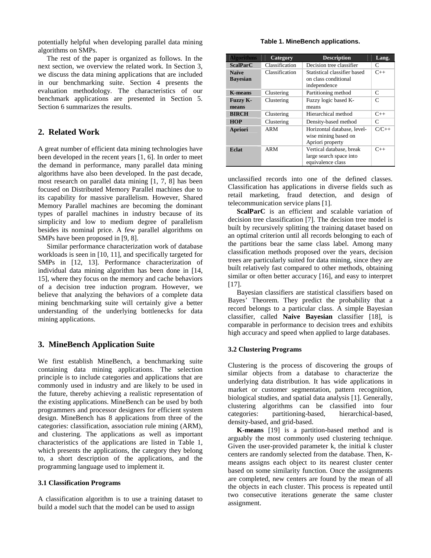potentially helpful when developing parallel data mining algorithms on SMPs.

 The rest of the paper is organized as follows. In the next section, we overview the related work. In Section 3, we discuss the data mining applications that are included in our benchmarking suite. Section 4 presents the evaluation methodology. The characteristics of our benchmark applications are presented in Section 5. Section 6 summarizes the results.

# **2. Related Work**

A great number of efficient data mining technologies have been developed in the recent years [1, 6]. In order to meet the demand in performance, many parallel data mining algorithms have also been developed. In the past decade, most research on parallel data mining [1, 7, 8] has been focused on Distributed Memory Parallel machines due to its capability for massive parallelism. However, Shared Memory Parallel machines are becoming the dominant types of parallel machines in industry because of its simplicity and low to medium degree of parallelism besides its nominal price. A few parallel algorithms on SMPs have been proposed in [9, 8].

 Similar performance characterization work of database workloads is seen in [10, 11], and specifically targeted for SMPs in [12, 13]. Performance characterization of individual data mining algorithm has been done in [14, 15], where they focus on the memory and cache behaviors of a decision tree induction program. However, we believe that analyzing the behaviors of a complete data mining benchmarking suite will certainly give a better understanding of the underlying bottlenecks for data mining applications.

# **3. MineBench Application Suite**

We first establish MineBench, a benchmarking suite containing data mining applications. The selection principle is to include categories and applications that are commonly used in industry and are likely to be used in the future, thereby achieving a realistic representation of the existing applications. MineBench can be used by both programmers and processor designers for efficient system design. MineBench has 8 applications from three of the categories: classification, association rule mining (ARM), and clustering. The applications as well as important characteristics of the applications are listed in Table 1, which presents the applications, the category they belong to, a short description of the applications, and the programming language used to implement it.

# **3.1 Classification Programs**

A classification algorithm is to use a training dataset to build a model such that the model can be used to assign

#### **Table 1. MineBench applications.**

| <b>Algorithms</b> | Category       | <b>Description</b>                                                                | Lang.         |
|-------------------|----------------|-----------------------------------------------------------------------------------|---------------|
| <b>ScalParC</b>   | Classification | Decision tree classifier                                                          | C             |
| <b>Naïve</b>      | Classification | Statistical classifier based                                                      | $C++$         |
| <b>Bayesian</b>   |                | on class conditional<br>independence                                              |               |
| <b>K-means</b>    | Clustering     | Partitioning method                                                               | $\mathcal{C}$ |
| <b>Fuzzy K-</b>   | Clustering     | Fuzzy logic based K-                                                              | $\mathcal{C}$ |
| means             |                | means                                                                             |               |
| <b>BIRCH</b>      | Clustering     | Hierarchical method                                                               | $C++$         |
| <b>HOP</b>        | Clustering     | Density-based method                                                              | C             |
| <b>Apriori</b>    | ARM            | Horizontal database, level-<br>wise mining based on<br>Apriori property           | $C/C_{++}$    |
| Eclat             | ARM            | Vertical database, break<br>$C++$<br>large search space into<br>equivalence class |               |

unclassified records into one of the defined classes. Classification has applications in diverse fields such as retail marketing, fraud detection, and design of telecommunication service plans [1].

 **ScalParC** is an efficient and scalable variation of decision tree classification [7]. The decision tree model is built by recursively splitting the training dataset based on an optimal criterion until all records belonging to each of the partitions bear the same class label. Among many classification methods proposed over the years, decision trees are particularly suited for data mining, since they are built relatively fast compared to other methods, obtaining similar or often better accuracy [16], and easy to interpret [17].

 Bayesian classifiers are statistical classifiers based on Bayes' Theorem. They predict the probability that a record belongs to a particular class. A simple Bayesian classifier, called **Naive Bayesian** classifier [18], is comparable in performance to decision trees and exhibits high accuracy and speed when applied to large databases.

# **3.2 Clustering Programs**

Clustering is the process of discovering the groups of similar objects from a database to characterize the underlying data distribution. It has wide applications in market or customer segmentation, pattern recognition, biological studies, and spatial data analysis [1]. Generally, clustering algorithms can be classified into four categories: partitioning-based, hierarchical-based, density-based, and grid-based.

 **K-means** [19] is a partition-based method and is arguably the most commonly used clustering technique. Given the user-provided parameter k, the initial k cluster centers are randomly selected from the database. Then, Kmeans assigns each object to its nearest cluster center based on some similarity function. Once the assignments are completed, new centers are found by the mean of all the objects in each cluster. This process is repeated until two consecutive iterations generate the same cluster assignment.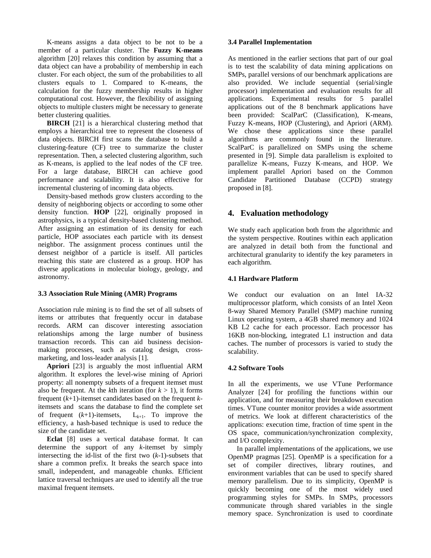K-means assigns a data object to be not to be a member of a particular cluster. The **Fuzzy K-means** algorithm [20] relaxes this condition by assuming that a data object can have a probability of membership in each cluster. For each object, the sum of the probabilities to all clusters equals to 1. Compared to K-means, the calculation for the fuzzy membership results in higher computational cost. However, the flexibility of assigning objects to multiple clusters might be necessary to generate better clustering qualities.

**BIRCH** [21] is a hierarchical clustering method that employs a hierarchical tree to represent the closeness of data objects. BIRCH first scans the database to build a clustering-feature (CF) tree to summarize the cluster representation. Then, a selected clustering algorithm, such as K-means, is applied to the leaf nodes of the CF tree. For a large database, BIRCH can achieve good performance and scalability. It is also effective for incremental clustering of incoming data objects.

 Density-based methods grow clusters according to the density of neighboring objects or according to some other density function. **HOP** [22], originally proposed in astrophysics, is a typical density-based clustering method. After assigning an estimation of its density for each particle, HOP associates each particle with its densest neighbor. The assignment process continues until the densest neighbor of a particle is itself. All particles reaching this state are clustered as a group. HOP has diverse applications in molecular biology, geology, and astronomy.

#### **3.3 Association Rule Mining (AMR) Programs**

Association rule mining is to find the set of all subsets of items or attributes that frequently occur in database records. ARM can discover interesting association relationships among the large number of business transaction records. This can aid business decisionmaking processes, such as catalog design, crossmarketing, and loss-leader analysis [1].

 **Apriori** [23] is arguably the most influential ARM algorithm. It explores the level-wise mining of Apriori property: all nonempty subsets of a frequent itemset must also be frequent. At the *k*th iteration (for  $k > 1$ ), it forms frequent (*k*+1)-itemset candidates based on the frequent *k*itemsets and scans the database to find the complete set of frequent  $(k+1)$ -itemsets,  $L_{k+1}$ . To improve the efficiency, a hash-based technique is used to reduce the size of the candidate set.

 **Eclat** [8] uses a vertical database format. It can determine the support of any *k*-itemset by simply intersecting the id-list of the first two (*k*-1)-subsets that share a common prefix. It breaks the search space into small, independent, and manageable chunks. Efficient lattice traversal techniques are used to identify all the true maximal frequent itemsets.

### **3.4 Parallel Implementation**

As mentioned in the earlier sections that part of our goal is to test the scalability of data mining applications on SMPs, parallel versions of our benchmark applications are also provided. We include sequential (serial/single processor) implementation and evaluation results for all applications. Experimental results for 5 parallel applications out of the 8 benchmark applications have been provided: ScalParC (Classification), K-means, Fuzzy K-means, HOP (Clustering), and Apriori (ARM). We chose these applications since these parallel algorithms are commonly found in the literature. ScalParC is parallelized on SMPs using the scheme presented in [9]. Simple data parallelism is exploited to parallelize K-means, Fuzzy K-means, and HOP. We implement parallel Apriori based on the Common Candidate Partitioned Database (CCPD) strategy proposed in [8].

# **4. Evaluation methodology**

We study each application both from the algorithmic and the system perspective. Routines within each application are analyzed in detail both from the functional and architectural granularity to identify the key parameters in each algorithm.

# **4.1 Hardware Platform**

We conduct our evaluation on an Intel IA-32 multiprocessor platform, which consists of an Intel Xeon 8-way Shared Memory Parallel (SMP) machine running Linux operating system, a 4GB shared memory and 1024 KB L2 cache for each processor. Each processor has 16KB non-blocking, integrated L1 instruction and data caches. The number of processors is varied to study the scalability.

#### **4.2 Software Tools**

In all the experiments, we use VTune Performance Analyzer [24] for profiling the functions within our application, and for measuring their breakdown execution times. VTune counter monitor provides a wide assortment of metrics. We look at different characteristics of the applications: execution time, fraction of time spent in the OS space, communication/synchronization complexity, and I/O complexity.

 In parallel implementations of the applications, we use OpenMP pragmas [25]. OpenMP is a specification for a set of compiler directives, library routines, and environment variables that can be used to specify shared memory parallelism. Due to its simplicity, OpenMP is quickly becoming one of the most widely used programming styles for SMPs. In SMPs, processors communicate through shared variables in the single memory space. Synchronization is used to coordinate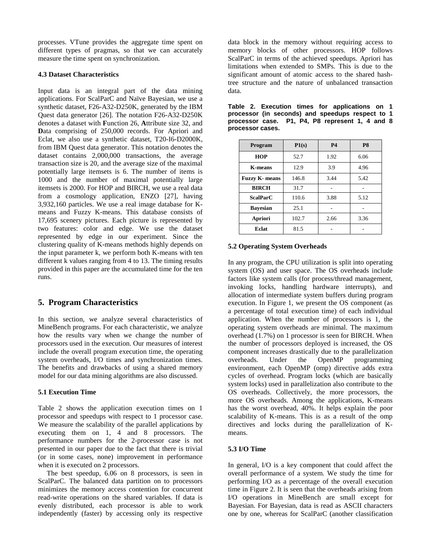processes. VTune provides the aggregate time spent on different types of pragmas, so that we can accurately measure the time spent on synchronization.

# **4.3 Dataset Characteristics**

Input data is an integral part of the data mining applications. For ScalParC and Naïve Bayesian, we use a synthetic dataset, F26-A32-D250K, generated by the IBM Quest data generator [26]. The notation F26-A32-D250K denotes a dataset with **F**unction 26, **A**ttribute size 32, and **D**ata comprising of 250,000 records. For Apriori and Eclat, we also use a synthetic dataset, T20-I6-D2000K, from IBM Quest data generator. This notation denotes the dataset contains 2,000,000 transactions, the average transaction size is 20, and the average size of the maximal potentially large itemsets is 6. The number of items is 1000 and the number of maximal potentially large itemsets is 2000. For HOP and BIRCH, we use a real data from a cosmology application, ENZO [27], having 3,932,160 particles. We use a real image database for Kmeans and Fuzzy K-means. This database consists of 17,695 scenery pictures. Each picture is represented by two features: color and edge. We use the dataset represented by edge in our experiment. Since the clustering quality of K-means methods highly depends on the input parameter k, we perform both K-means with ten different k values ranging from 4 to 13. The timing results provided in this paper are the accumulated time for the ten runs.

# **5. Program Characteristics**

In this section, we analyze several characteristics of MineBench programs. For each characteristic, we analyze how the results vary when we change the number of processors used in the execution. Our measures of interest include the overall program execution time, the operating system overheads, I/O times and synchronization times. The benefits and drawbacks of using a shared memory model for our data mining algorithms are also discussed.

# **5.1 Execution Time**

Table 2 shows the application execution times on 1 processor and speedups with respect to 1 processor case. We measure the scalability of the parallel applications by executing them on 1, 4 and 8 processors. The performance numbers for the 2-processor case is not presented in our paper due to the fact that there is trivial (or in some cases, none) improvement in performance when it is executed on 2 processors.

 The best speedup, 6.06 on 8 processors, is seen in ScalParC. The balanced data partition on to processors minimizes the memory access contention for concurrent read-write operations on the shared variables. If data is evenly distributed, each processor is able to work independently (faster) by accessing only its respective

data block in the memory without requiring access to memory blocks of other processors. HOP follows ScalParC in terms of the achieved speedups. Apriori has limitations when extended to SMPs. This is due to the significant amount of atomic access to the shared hashtree structure and the nature of unbalanced transaction data.

| Program               | P1(s) | <b>P4</b> | P <sub>8</sub> |
|-----------------------|-------|-----------|----------------|
| <b>HOP</b>            | 52.7  | 1.92      | 6.06           |
| <b>K-means</b>        | 12.9  | 3.9       | 4.96           |
| <b>Fuzzy K-</b> means | 146.8 | 3.44      | 5.42           |
| <b>BIRCH</b>          | 31.7  |           |                |
| <b>ScalParC</b>       | 110.6 | 3.88      | 5.12           |
| <b>Bayesian</b>       | 25.1  |           |                |
| <b>Apriori</b>        | 102.7 | 2.66      | 3.36           |
| Eclat                 | 81.5  |           |                |

#### **Table 2. Execution times for applications on 1 processor (in seconds) and speedups respect to 1 processor case. P1, P4, P8 represent 1, 4 and 8 processor cases.**

# **5.2 Operating System Overheads**

In any program, the CPU utilization is split into operating system (OS) and user space. The OS overheads include factors like system calls (for process/thread management, invoking locks, handling hardware interrupts), and allocation of intermediate system buffers during program execution. In Figure 1, we present the OS component (as a percentage of total execution time) of each individual application. When the number of processors is 1, the operating system overheads are minimal. The maximum overhead (1.7%) on 1 processor is seen for BIRCH. When the number of processors deployed is increased, the OS component increases drastically due to the parallelization overheads. Under the OpenMP programming environment, each OpenMP (omp) directive adds extra cycles of overhead. Program locks (which are basically system locks) used in parallelization also contribute to the OS overheads. Collectively, the more processors, the more OS overheads. Among the applications, K-means has the worst overhead, 40%. It helps explain the poor scalability of K-means. This is as a result of the omp directives and locks during the parallelization of Kmeans.

# **5.3 I/O Time**

In general, I/O is a key component that could affect the overall performance of a system. We study the time for performing I/O as a percentage of the overall execution time in Figure 2. It is seen that the overheads arising from I/O operations in MineBench are small except for Bayesian. For Bayesian, data is read as ASCII characters one by one, whereas for ScalParC (another classification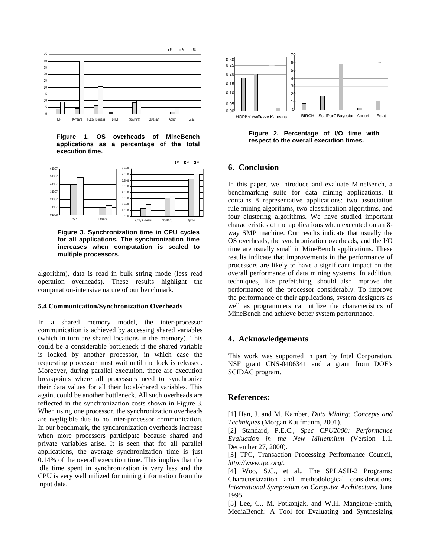

**Figure 1. OS overheads of MineBench applications as a percentage of the total execution time.** 



**Figure 3. Synchronization time in CPU cycles for all applications. The synchronization time increases when computation is scaled to multiple processors.** 

algorithm), data is read in bulk string mode (less read operation overheads). These results highlight the computation-intensive nature of our benchmark.

#### **5.4 Communication/Synchronization Overheads**

In a shared memory model, the inter-processor communication is achieved by accessing shared variables (which in turn are shared locations in the memory). This could be a considerable bottleneck if the shared variable is locked by another processor, in which case the requesting processor must wait until the lock is released. Moreover, during parallel execution, there are execution breakpoints where all processors need to synchronize their data values for all their local/shared variables. This again, could be another bottleneck. All such overheads are reflected in the synchronization costs shown in Figure 3. When using one processor, the synchronization overheads are negligible due to no inter-processor communication. In our benchmark, the synchronization overheads increase when more processors participate because shared and private variables arise. It is seen that for all parallel applications, the average synchronization time is just 0.14% of the overall execution time. This implies that the idle time spent in synchronization is very less and the CPU is very well utilized for mining information from the input data.



**Figure 2. Percentage of I/O time with respect to the overall execution times.** 

# **6. Conclusion**

In this paper, we introduce and evaluate MineBench, a benchmarking suite for data mining applications. It contains 8 representative applications: two association rule mining algorithms, two classification algorithms, and four clustering algorithms. We have studied important characteristics of the applications when executed on an 8 way SMP machine. Our results indicate that usually the OS overheads, the synchronization overheads, and the I/O time are usually small in MineBench applications. These results indicate that improvements in the performance of processors are likely to have a significant impact on the overall performance of data mining systems. In addition, techniques, like prefetching, should also improve the performance of the processor considerably. To improve the performance of their applications, system designers as well as programmers can utilize the characteristics of MineBench and achieve better system performance.

# **4. Acknowledgements**

This work was supported in part by Intel Corporation, NSF grant CNS-0406341 and a grant from DOE's SCIDAC program.

# **References:**

[1] Han, J. and M. Kamber, *Data Mining: Concepts and Techniques* (Morgan Kaufmanm, 2001).

[2] Standard, P.E.C., *Spec CPU2000: Performance Evaluation in the New Millennium* (Version 1.1. December 27, 2000).

[3] TPC, Transaction Processing Performance Council*, http://www.tpc.org/*.

[4] Woo, S.C., et al., The SPLASH-2 Programs: Characteriazation and methodological considerations, *International Symposium on Computer Architecture*, June 1995.

[5] Lee, C., M. Potkonjak, and W.H. Mangione-Smith, MediaBench: A Tool for Evaluating and Synthesizing